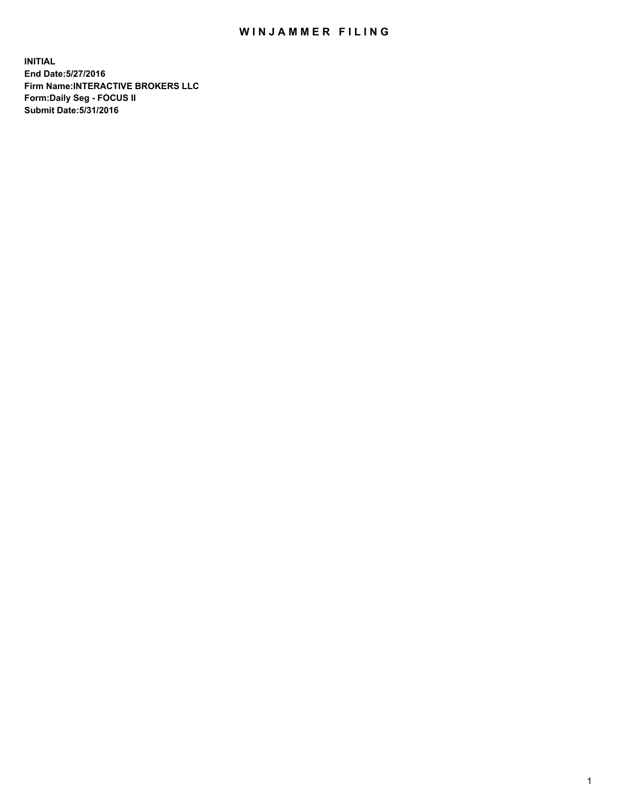## WIN JAMMER FILING

**INITIAL End Date:5/27/2016 Firm Name:INTERACTIVE BROKERS LLC Form:Daily Seg - FOCUS II Submit Date:5/31/2016**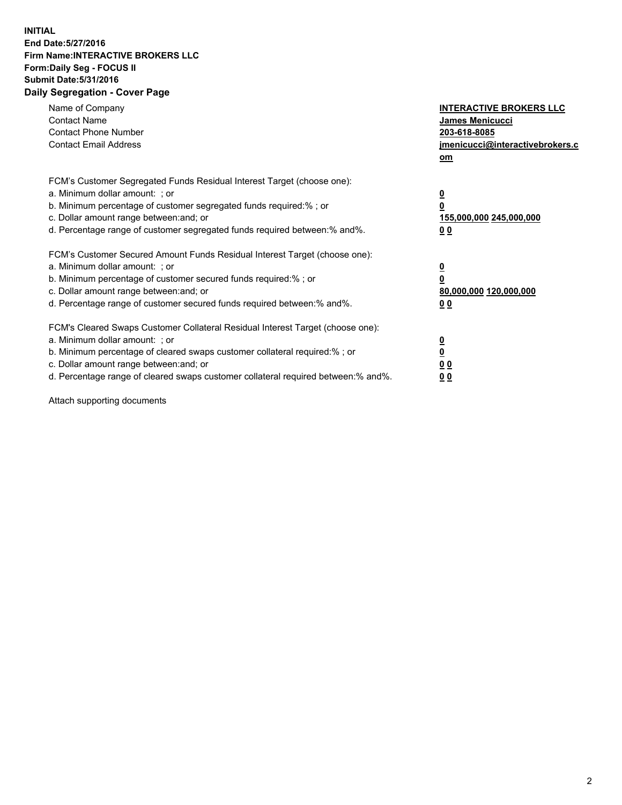## **INITIAL End Date:5/27/2016 Firm Name:INTERACTIVE BROKERS LLC Form:Daily Seg - FOCUS II Submit Date:5/31/2016 Daily Segregation - Cover Page**

| Name of Company<br><b>Contact Name</b><br><b>Contact Phone Number</b><br><b>Contact Email Address</b>                                                                                                                                                                                                                          | <b>INTERACTIVE BROKERS LLC</b><br>James Menicucci<br>203-618-8085<br>jmenicucci@interactivebrokers.c<br>om |
|--------------------------------------------------------------------------------------------------------------------------------------------------------------------------------------------------------------------------------------------------------------------------------------------------------------------------------|------------------------------------------------------------------------------------------------------------|
| FCM's Customer Segregated Funds Residual Interest Target (choose one):<br>a. Minimum dollar amount: ; or<br>b. Minimum percentage of customer segregated funds required:%; or<br>c. Dollar amount range between: and; or<br>d. Percentage range of customer segregated funds required between:% and%.                          | $\overline{\mathbf{0}}$<br>0<br>155,000,000 245,000,000<br>0 <sub>0</sub>                                  |
| FCM's Customer Secured Amount Funds Residual Interest Target (choose one):<br>a. Minimum dollar amount: ; or<br>b. Minimum percentage of customer secured funds required:%; or<br>c. Dollar amount range between: and; or<br>d. Percentage range of customer secured funds required between:% and%.                            | $\overline{\mathbf{0}}$<br>$\overline{\mathbf{0}}$<br>80,000,000 120,000,000<br>00                         |
| FCM's Cleared Swaps Customer Collateral Residual Interest Target (choose one):<br>a. Minimum dollar amount: ; or<br>b. Minimum percentage of cleared swaps customer collateral required:% ; or<br>c. Dollar amount range between: and; or<br>d. Percentage range of cleared swaps customer collateral required between:% and%. | $\overline{\mathbf{0}}$<br>$\overline{\mathbf{0}}$<br>0 <sub>0</sub><br><u>00</u>                          |

Attach supporting documents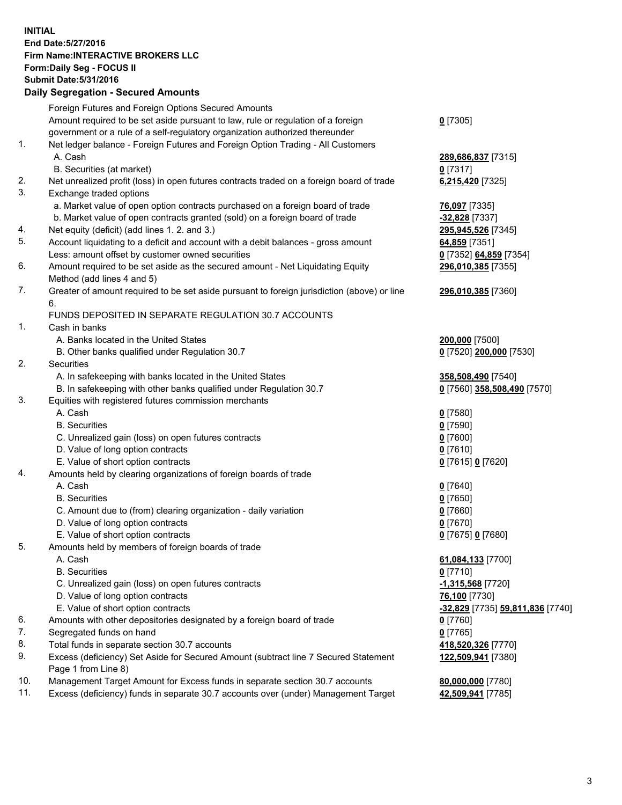## **INITIAL End Date:5/27/2016 Firm Name:INTERACTIVE BROKERS LLC Form:Daily Seg - FOCUS II Submit Date:5/31/2016 Daily Segregation - Secured Amounts**

|     | Dany Ocgregation - Oceaned Announts                                                         |                                  |
|-----|---------------------------------------------------------------------------------------------|----------------------------------|
|     | Foreign Futures and Foreign Options Secured Amounts                                         |                                  |
|     | Amount required to be set aside pursuant to law, rule or regulation of a foreign            | $0$ [7305]                       |
|     | government or a rule of a self-regulatory organization authorized thereunder                |                                  |
| 1.  | Net ledger balance - Foreign Futures and Foreign Option Trading - All Customers             |                                  |
|     | A. Cash                                                                                     | 289,686,837 [7315]               |
|     | B. Securities (at market)                                                                   | $0$ [7317]                       |
| 2.  | Net unrealized profit (loss) in open futures contracts traded on a foreign board of trade   | 6,215,420 [7325]                 |
| 3.  | Exchange traded options                                                                     |                                  |
|     | a. Market value of open option contracts purchased on a foreign board of trade              | <b>76,097</b> [7335]             |
|     | b. Market value of open contracts granted (sold) on a foreign board of trade                | $-32,828$ [7337]                 |
| 4.  | Net equity (deficit) (add lines 1.2. and 3.)                                                | 295,945,526 [7345]               |
| 5.  | Account liquidating to a deficit and account with a debit balances - gross amount           | 64,859 [7351]                    |
|     | Less: amount offset by customer owned securities                                            | 0 [7352] 64,859 [7354]           |
| 6.  | Amount required to be set aside as the secured amount - Net Liquidating Equity              | 296,010,385 [7355]               |
|     | Method (add lines 4 and 5)                                                                  |                                  |
| 7.  | Greater of amount required to be set aside pursuant to foreign jurisdiction (above) or line | 296,010,385 [7360]               |
|     | 6.                                                                                          |                                  |
|     | FUNDS DEPOSITED IN SEPARATE REGULATION 30.7 ACCOUNTS                                        |                                  |
| 1.  | Cash in banks                                                                               |                                  |
|     | A. Banks located in the United States                                                       | 200,000 [7500]                   |
|     | B. Other banks qualified under Regulation 30.7                                              | 0 [7520] 200,000 [7530]          |
| 2.  | Securities                                                                                  |                                  |
|     | A. In safekeeping with banks located in the United States                                   | 358,508,490 [7540]               |
|     | B. In safekeeping with other banks qualified under Regulation 30.7                          | 0 [7560] 358,508,490 [7570]      |
| 3.  | Equities with registered futures commission merchants                                       |                                  |
|     | A. Cash                                                                                     | $0$ [7580]                       |
|     | <b>B.</b> Securities                                                                        | $0$ [7590]                       |
|     | C. Unrealized gain (loss) on open futures contracts                                         | $0$ [7600]                       |
|     | D. Value of long option contracts                                                           | $0$ [7610]                       |
|     | E. Value of short option contracts                                                          | 0 [7615] 0 [7620]                |
| 4.  | Amounts held by clearing organizations of foreign boards of trade                           |                                  |
|     | A. Cash                                                                                     | $0$ [7640]                       |
|     | <b>B.</b> Securities                                                                        | $0$ [7650]                       |
|     | C. Amount due to (from) clearing organization - daily variation                             | $0$ [7660]                       |
|     | D. Value of long option contracts                                                           | $0$ [7670]                       |
|     | E. Value of short option contracts                                                          | 0 [7675] 0 [7680]                |
| 5.  | Amounts held by members of foreign boards of trade                                          |                                  |
|     | A. Cash                                                                                     | 61,084,133 [7700]                |
|     | <b>B.</b> Securities                                                                        | $0$ [7710]                       |
|     | C. Unrealized gain (loss) on open futures contracts                                         | $-1,315,568$ [7720]              |
|     | D. Value of long option contracts                                                           | 76,100 [7730]                    |
|     | E. Value of short option contracts                                                          | -32,829 [7735] 59,811,836 [7740] |
| 6.  | Amounts with other depositories designated by a foreign board of trade                      | $0$ [7760]                       |
| 7.  | Segregated funds on hand                                                                    | $0$ [7765]                       |
| 8.  | Total funds in separate section 30.7 accounts                                               | 418,520,326 [7770]               |
| 9.  | Excess (deficiency) Set Aside for Secured Amount (subtract line 7 Secured Statement         | 122,509,941 [7380]               |
|     | Page 1 from Line 8)                                                                         |                                  |
| 10. | Management Target Amount for Excess funds in separate section 30.7 accounts                 | 80,000,000 [7780]                |
| 11. | Excess (deficiency) funds in separate 30.7 accounts over (under) Management Target          | 42,509,941 [7785]                |
|     |                                                                                             |                                  |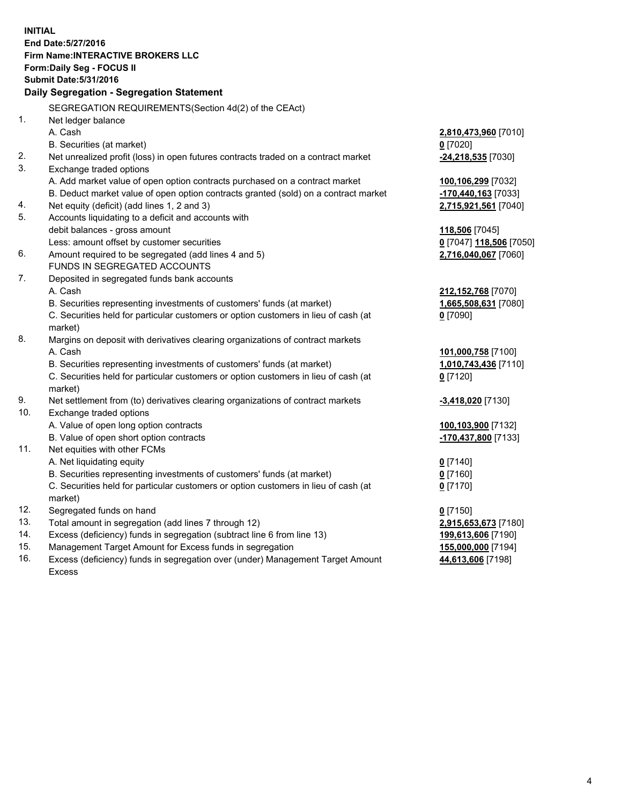**INITIAL End Date:5/27/2016 Firm Name:INTERACTIVE BROKERS LLC Form:Daily Seg - FOCUS II Submit Date:5/31/2016 Daily Segregation - Segregation Statement** SEGREGATION REQUIREMENTS(Section 4d(2) of the CEAct) 1. Net ledger balance A. Cash **2,810,473,960** [7010] B. Securities (at market) **0** [7020] 2. Net unrealized profit (loss) in open futures contracts traded on a contract market **-24,218,535** [7030] 3. Exchange traded options A. Add market value of open option contracts purchased on a contract market **100,106,299** [7032] B. Deduct market value of open option contracts granted (sold) on a contract market **-170,440,163** [7033] 4. Net equity (deficit) (add lines 1, 2 and 3) **2,715,921,561** [7040] 5. Accounts liquidating to a deficit and accounts with debit balances - gross amount **118,506** [7045] Less: amount offset by customer securities **0** [7047] **118,506** [7050] 6. Amount required to be segregated (add lines 4 and 5) **2,716,040,067** [7060] FUNDS IN SEGREGATED ACCOUNTS 7. Deposited in segregated funds bank accounts A. Cash **212,152,768** [7070] B. Securities representing investments of customers' funds (at market) **1,665,508,631** [7080] C. Securities held for particular customers or option customers in lieu of cash (at market) **0** [7090] 8. Margins on deposit with derivatives clearing organizations of contract markets A. Cash **101,000,758** [7100] B. Securities representing investments of customers' funds (at market) **1,010,743,436** [7110] C. Securities held for particular customers or option customers in lieu of cash (at market) **0** [7120] 9. Net settlement from (to) derivatives clearing organizations of contract markets **-3,418,020** [7130] 10. Exchange traded options A. Value of open long option contracts **100,103,900** [7132] B. Value of open short option contracts **-170,437,800** [7133] 11. Net equities with other FCMs A. Net liquidating equity **0** [7140] B. Securities representing investments of customers' funds (at market) **0** [7160] C. Securities held for particular customers or option customers in lieu of cash (at market) **0** [7170] 12. Segregated funds on hand **0** [7150] 13. Total amount in segregation (add lines 7 through 12) **2,915,653,673** [7180] 14. Excess (deficiency) funds in segregation (subtract line 6 from line 13) **199,613,606** [7190] 15. Management Target Amount for Excess funds in segregation **155,000,000** [7194] **44,613,606** [7198]

16. Excess (deficiency) funds in segregation over (under) Management Target Amount Excess